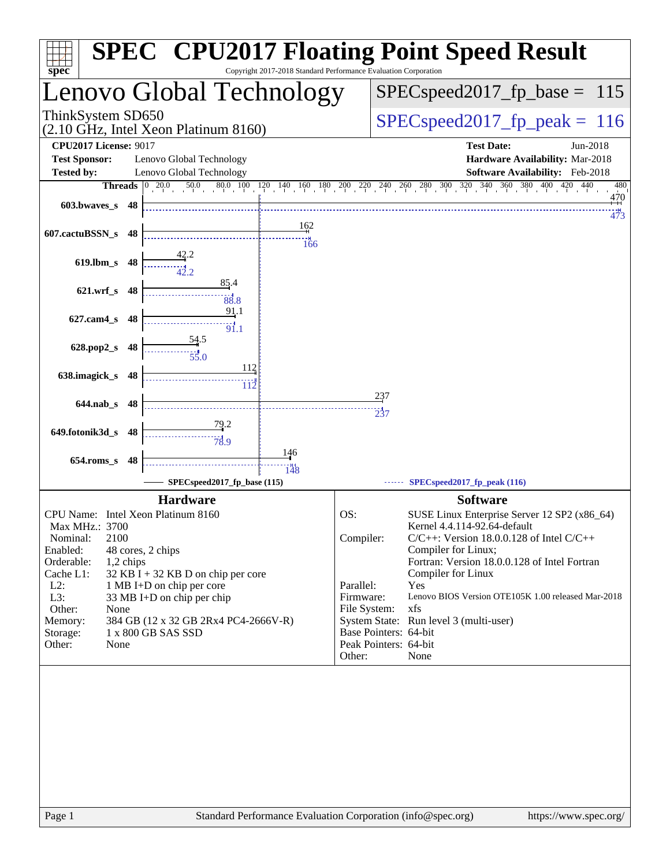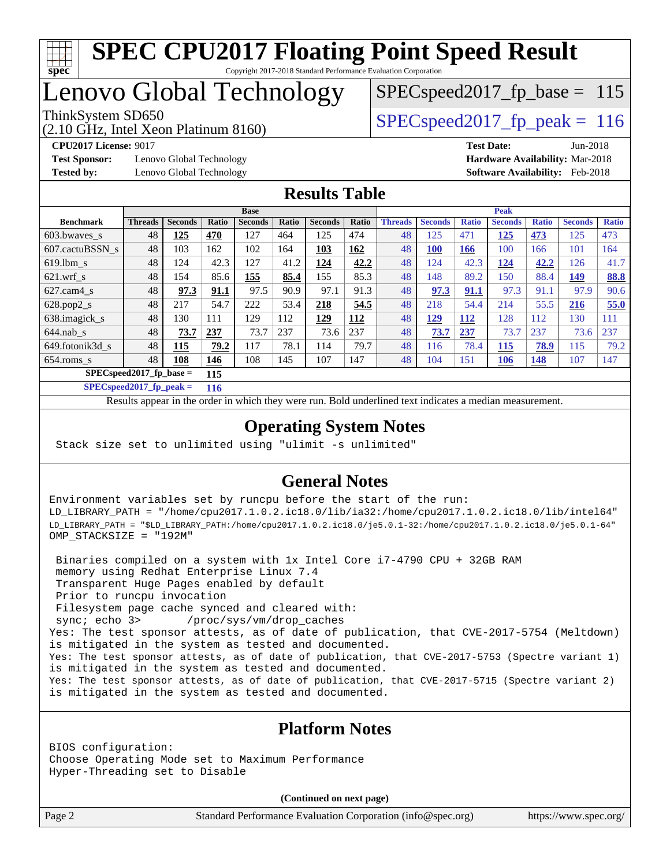

# Lenovo Global Technology

(2.10 GHz, Intel Xeon Platinum 8160)

ThinkSystem SD650  $SPEC speed2017$  fp\_peak = 116 SPECspeed2017 fp base =  $115$ 

**[Test Sponsor:](http://www.spec.org/auto/cpu2017/Docs/result-fields.html#TestSponsor)** Lenovo Global Technology **[Hardware Availability:](http://www.spec.org/auto/cpu2017/Docs/result-fields.html#HardwareAvailability)** Mar-2018 **[Tested by:](http://www.spec.org/auto/cpu2017/Docs/result-fields.html#Testedby)** Lenovo Global Technology **[Software Availability:](http://www.spec.org/auto/cpu2017/Docs/result-fields.html#SoftwareAvailability)** Feb-2018

**[CPU2017 License:](http://www.spec.org/auto/cpu2017/Docs/result-fields.html#CPU2017License)** 9017 **[Test Date:](http://www.spec.org/auto/cpu2017/Docs/result-fields.html#TestDate)** Jun-2018

### **[Results Table](http://www.spec.org/auto/cpu2017/Docs/result-fields.html#ResultsTable)**

|                            | <b>Base</b>    |                |       |                |       | <b>Peak</b>    |            |                |                |              |                |              |                |              |
|----------------------------|----------------|----------------|-------|----------------|-------|----------------|------------|----------------|----------------|--------------|----------------|--------------|----------------|--------------|
| <b>Benchmark</b>           | <b>Threads</b> | <b>Seconds</b> | Ratio | <b>Seconds</b> | Ratio | <b>Seconds</b> | Ratio      | <b>Threads</b> | <b>Seconds</b> | <b>Ratio</b> | <b>Seconds</b> | <b>Ratio</b> | <b>Seconds</b> | <b>Ratio</b> |
| $603.bwaves$ s             | 48             | 125            | 470   | 127            | 464   | 125            | 474        | 48             | 125            | 471          | 125            | 473          | 125            | 473          |
| 607.cactuBSSN s            | 48             | 103            | 162   | 102            | 164   | 103            | <b>162</b> | 48             | <b>100</b>     | 166          | 100            | 166          | 101            | 164          |
| $619.1$ bm s               | 48             | 124            | 42.3  | 127            | 41.2  | 124            | 42.2       | 48             | 124            | 42.3         | 124            | 42.2         | 126            | 41.7         |
| $621$ .wrf s               | 48             | 154            | 85.6  | 155            | 85.4  | 155            | 85.3       | 48             | 148            | 89.2         | 150            | 88.4         | 149            | 88.8         |
| $627$ .cam4 s              | 48             | 97.3           | 91.1  | 97.5           | 90.9  | 97.1           | 91.3       | 48             | 97.3           | 91.1         | 97.3           | 91.1         | 97.9           | 90.6         |
| $628.pop2_s$               | 48             | 217            | 54.7  | 222            | 53.4  | 218            | 54.5       | 48             | 218            | 54.4         | 214            | 55.5         | 216            | 55.0         |
| 638.imagick_s              | 48             | 130            | 111   | 129            | 112   | 129            | 112        | 48             | <u>129</u>     | <b>112</b>   | 128            | 112          | 130            | 111          |
| $644$ .nab s               | 48             | 73.7           | 237   | 73.7           | 237   | 73.6           | 237        | 48             | 73.7           | 237          | 73.7           | 237          | 73.6           | 237          |
| 649.fotonik3d s            | 48             | 115            | 79.2  | 117            | 78.1  | 114            | 79.7       | 48             | 116            | 78.4         | 115            | 78.9         | 115            | 79.2         |
| $654$ .roms s              | 48             | 108            | 146   | 108            | 145   | 107            | 147        | 48             | 104            | 151          | 106            | <b>148</b>   | 107            | 147          |
| $SPEC speed2017$ fp base = |                |                | 115   |                |       |                |            |                |                |              |                |              |                |              |

**[SPECspeed2017\\_fp\\_peak =](http://www.spec.org/auto/cpu2017/Docs/result-fields.html#SPECspeed2017fppeak) 116**

Results appear in the [order in which they were run.](http://www.spec.org/auto/cpu2017/Docs/result-fields.html#RunOrder) Bold underlined text [indicates a median measurement](http://www.spec.org/auto/cpu2017/Docs/result-fields.html#Median).

## **[Operating System Notes](http://www.spec.org/auto/cpu2017/Docs/result-fields.html#OperatingSystemNotes)**

Stack size set to unlimited using "ulimit -s unlimited"

## **[General Notes](http://www.spec.org/auto/cpu2017/Docs/result-fields.html#GeneralNotes)**

Environment variables set by runcpu before the start of the run: LD\_LIBRARY\_PATH = "/home/cpu2017.1.0.2.ic18.0/lib/ia32:/home/cpu2017.1.0.2.ic18.0/lib/intel64" LD\_LIBRARY\_PATH = "\$LD\_LIBRARY\_PATH:/home/cpu2017.1.0.2.ic18.0/je5.0.1-32:/home/cpu2017.1.0.2.ic18.0/je5.0.1-64" OMP\_STACKSIZE = "192M"

 Binaries compiled on a system with 1x Intel Core i7-4790 CPU + 32GB RAM memory using Redhat Enterprise Linux 7.4 Transparent Huge Pages enabled by default Prior to runcpu invocation Filesystem page cache synced and cleared with: sync; echo 3> /proc/sys/vm/drop\_caches Yes: The test sponsor attests, as of date of publication, that CVE-2017-5754 (Meltdown) is mitigated in the system as tested and documented. Yes: The test sponsor attests, as of date of publication, that CVE-2017-5753 (Spectre variant 1) is mitigated in the system as tested and documented. Yes: The test sponsor attests, as of date of publication, that CVE-2017-5715 (Spectre variant 2) is mitigated in the system as tested and documented.

## **[Platform Notes](http://www.spec.org/auto/cpu2017/Docs/result-fields.html#PlatformNotes)**

BIOS configuration: Choose Operating Mode set to Maximum Performance Hyper-Threading set to Disable

**(Continued on next page)**

Page 2 Standard Performance Evaluation Corporation [\(info@spec.org\)](mailto:info@spec.org) <https://www.spec.org/>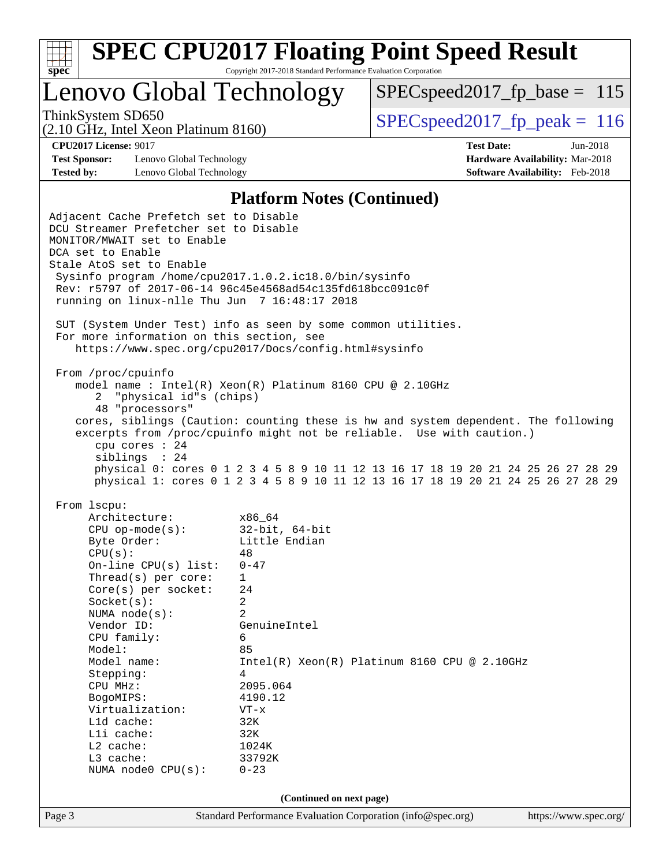

Lenovo Global Technology

 $SPEC speed2017_fp\_base = 115$ 

(2.10 GHz, Intel Xeon Platinum 8160)

ThinkSystem SD650  $SPEC speed2017$  fp\_peak = 116

**[Test Sponsor:](http://www.spec.org/auto/cpu2017/Docs/result-fields.html#TestSponsor)** Lenovo Global Technology **[Hardware Availability:](http://www.spec.org/auto/cpu2017/Docs/result-fields.html#HardwareAvailability)** Mar-2018 **[Tested by:](http://www.spec.org/auto/cpu2017/Docs/result-fields.html#Testedby)** Lenovo Global Technology **[Software Availability:](http://www.spec.org/auto/cpu2017/Docs/result-fields.html#SoftwareAvailability)** Feb-2018

**[CPU2017 License:](http://www.spec.org/auto/cpu2017/Docs/result-fields.html#CPU2017License)** 9017 **[Test Date:](http://www.spec.org/auto/cpu2017/Docs/result-fields.html#TestDate)** Jun-2018

#### **[Platform Notes \(Continued\)](http://www.spec.org/auto/cpu2017/Docs/result-fields.html#PlatformNotes)**

Page 3 Standard Performance Evaluation Corporation [\(info@spec.org\)](mailto:info@spec.org) <https://www.spec.org/> Adjacent Cache Prefetch set to Disable DCU Streamer Prefetcher set to Disable MONITOR/MWAIT set to Enable DCA set to Enable Stale AtoS set to Enable Sysinfo program /home/cpu2017.1.0.2.ic18.0/bin/sysinfo Rev: r5797 of 2017-06-14 96c45e4568ad54c135fd618bcc091c0f running on linux-nlle Thu Jun 7 16:48:17 2018 SUT (System Under Test) info as seen by some common utilities. For more information on this section, see <https://www.spec.org/cpu2017/Docs/config.html#sysinfo> From /proc/cpuinfo model name : Intel(R) Xeon(R) Platinum 8160 CPU @ 2.10GHz 2 "physical id"s (chips) 48 "processors" cores, siblings (Caution: counting these is hw and system dependent. The following excerpts from /proc/cpuinfo might not be reliable. Use with caution.) cpu cores : 24 siblings : 24 physical 0: cores 0 1 2 3 4 5 8 9 10 11 12 13 16 17 18 19 20 21 24 25 26 27 28 29 physical 1: cores 0 1 2 3 4 5 8 9 10 11 12 13 16 17 18 19 20 21 24 25 26 27 28 29 From lscpu: Architecture: x86\_64 CPU op-mode(s): 32-bit, 64-bit Byte Order: Little Endian  $CPU(s):$  48 On-line CPU(s) list: 0-47 Thread(s) per core: 1 Core(s) per socket: 24 Socket(s): 2 NUMA node(s): 2 Vendor ID: GenuineIntel CPU family: 6 Model: 85<br>Model name: 1n  $Intel(R)$  Xeon(R) Platinum 8160 CPU @ 2.10GHz Stepping: 4 CPU MHz: 2095.064 BogoMIPS: 4190.12 Virtualization: VT-x L1d cache: 32K L1i cache: 32K L2 cache: 1024K L3 cache: 33792K NUMA node0 CPU(s): 0-23 **(Continued on next page)**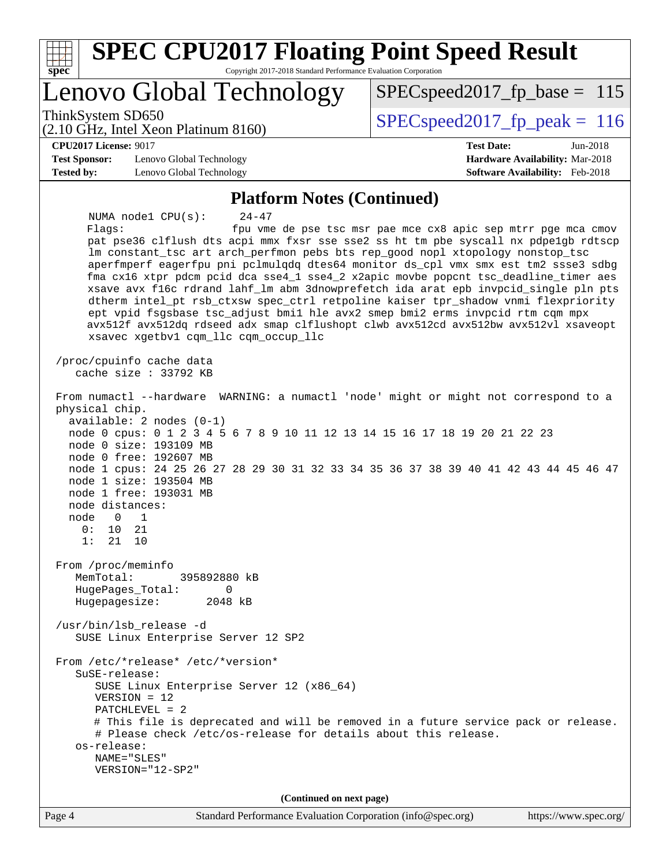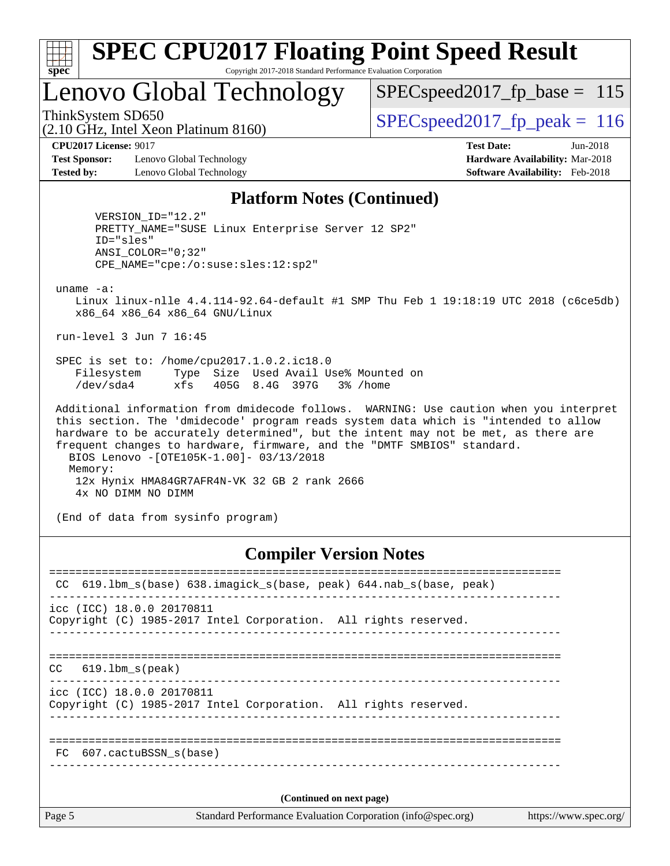| c<br>Æ<br>u<br>÷ |  |  |  |  |  |  |
|------------------|--|--|--|--|--|--|

# Lenovo Global Technology

SPECspeed2017 fp base =  $115$ 

(2.10 GHz, Intel Xeon Platinum 8160) ThinkSystem SD650  $SPEC speed2017$  fp\_peak = 116

**[Test Sponsor:](http://www.spec.org/auto/cpu2017/Docs/result-fields.html#TestSponsor)** Lenovo Global Technology **[Hardware Availability:](http://www.spec.org/auto/cpu2017/Docs/result-fields.html#HardwareAvailability)** Mar-2018 **[Tested by:](http://www.spec.org/auto/cpu2017/Docs/result-fields.html#Testedby)** Lenovo Global Technology **[Software Availability:](http://www.spec.org/auto/cpu2017/Docs/result-fields.html#SoftwareAvailability)** Feb-2018

**[CPU2017 License:](http://www.spec.org/auto/cpu2017/Docs/result-fields.html#CPU2017License)** 9017 **[Test Date:](http://www.spec.org/auto/cpu2017/Docs/result-fields.html#TestDate)** Jun-2018

#### **[Platform Notes \(Continued\)](http://www.spec.org/auto/cpu2017/Docs/result-fields.html#PlatformNotes)**

 VERSION\_ID="12.2" PRETTY\_NAME="SUSE Linux Enterprise Server 12 SP2" ID="sles" ANSI\_COLOR="0;32" CPE\_NAME="cpe:/o:suse:sles:12:sp2"

uname -a:

 Linux linux-nlle 4.4.114-92.64-default #1 SMP Thu Feb 1 19:18:19 UTC 2018 (c6ce5db) x86\_64 x86\_64 x86\_64 GNU/Linux

run-level 3 Jun 7 16:45

 SPEC is set to: /home/cpu2017.1.0.2.ic18.0 Filesystem Type Size Used Avail Use% Mounted on /dev/sda4 xfs 405G 8.4G 397G 3% /home

 Additional information from dmidecode follows. WARNING: Use caution when you interpret this section. The 'dmidecode' program reads system data which is "intended to allow hardware to be accurately determined", but the intent may not be met, as there are frequent changes to hardware, firmware, and the "DMTF SMBIOS" standard. BIOS Lenovo -[OTE105K-1.00]- 03/13/2018 Memory: 12x Hynix HMA84GR7AFR4N-VK 32 GB 2 rank 2666 4x NO DIMM NO DIMM

(End of data from sysinfo program)

## **[Compiler Version Notes](http://www.spec.org/auto/cpu2017/Docs/result-fields.html#CompilerVersionNotes)**

| CC.    | 619.1bm_s(base) 638.imagick_s(base, peak) 644.nab_s(base, peak)                                                  |
|--------|------------------------------------------------------------------------------------------------------------------|
|        | icc (ICC) 18.0.0 20170811<br>Copyright (C) 1985-2017 Intel Corporation. All rights reserved.                     |
| CC     | 619.1bm s(peak)                                                                                                  |
|        | icc (ICC) 18.0.0 20170811<br>Copyright (C) 1985-2017 Intel Corporation. All rights reserved.                     |
|        | FC 607.cactuBSSN_s(base)                                                                                         |
| Page 5 | (Continued on next page)<br>Standard Performance Evaluation Corporation (info@spec.org)<br>https://www.spec.org/ |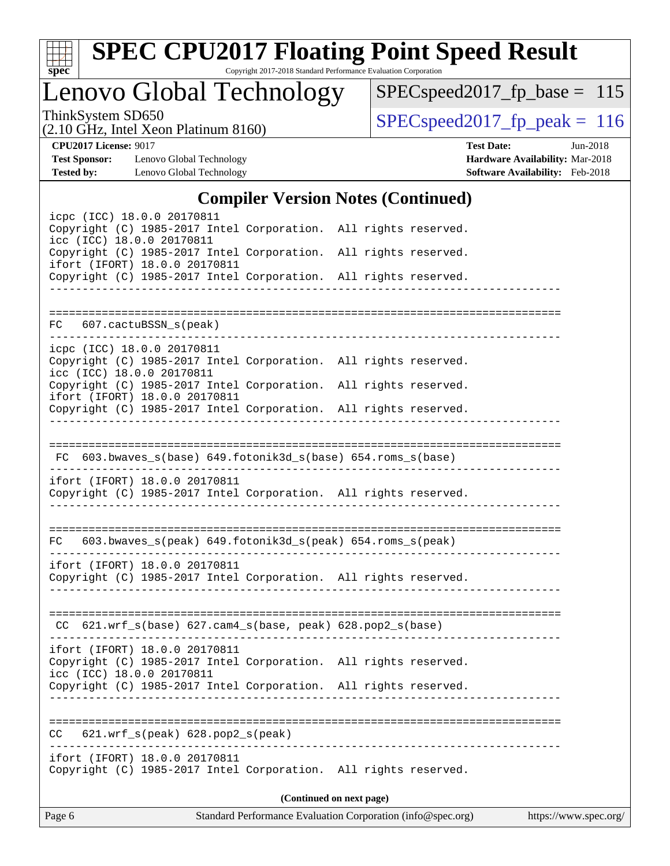

# **[SPEC CPU2017 Floating Point Speed Result](http://www.spec.org/auto/cpu2017/Docs/result-fields.html#SPECCPU2017FloatingPointSpeedResult)**

Copyright 2017-2018 Standard Performance Evaluation Corporation

Lenovo Global Technology

[SPECspeed2017\\_fp\\_base =](http://www.spec.org/auto/cpu2017/Docs/result-fields.html#SPECspeed2017fpbase) 115

(2.10 GHz, Intel Xeon Platinum 8160)

ThinkSystem SD650<br>  $(2.10 \text{ GHz})$  Intel Xeon Platinum 8160) [SPECspeed2017\\_fp\\_peak =](http://www.spec.org/auto/cpu2017/Docs/result-fields.html#SPECspeed2017fppeak) 116

**[Test Sponsor:](http://www.spec.org/auto/cpu2017/Docs/result-fields.html#TestSponsor)** Lenovo Global Technology **[Hardware Availability:](http://www.spec.org/auto/cpu2017/Docs/result-fields.html#HardwareAvailability)** Mar-2018 **[Tested by:](http://www.spec.org/auto/cpu2017/Docs/result-fields.html#Testedby)** Lenovo Global Technology **[Software Availability:](http://www.spec.org/auto/cpu2017/Docs/result-fields.html#SoftwareAvailability)** Feb-2018

**[CPU2017 License:](http://www.spec.org/auto/cpu2017/Docs/result-fields.html#CPU2017License)** 9017 **[Test Date:](http://www.spec.org/auto/cpu2017/Docs/result-fields.html#TestDate)** Jun-2018

## **[Compiler Version Notes \(Continued\)](http://www.spec.org/auto/cpu2017/Docs/result-fields.html#CompilerVersionNotes)**

| Page 6                                                                                                                                                          | Standard Performance Evaluation Corporation (info@spec.org) | https://www.spec.org/ |
|-----------------------------------------------------------------------------------------------------------------------------------------------------------------|-------------------------------------------------------------|-----------------------|
|                                                                                                                                                                 | (Continued on next page)                                    |                       |
| ifort (IFORT) 18.0.0 20170811<br>Copyright (C) 1985-2017 Intel Corporation. All rights reserved.                                                                |                                                             |                       |
| 621.wrf_s(peak) 628.pop2_s(peak)<br>CC.                                                                                                                         |                                                             |                       |
|                                                                                                                                                                 |                                                             |                       |
| icc (ICC) 18.0.0 20170811<br>Copyright (C) 1985-2017 Intel Corporation. All rights reserved.                                                                    |                                                             |                       |
| ifort (IFORT) 18.0.0 20170811<br>Copyright (C) 1985-2017 Intel Corporation. All rights reserved.                                                                |                                                             |                       |
| CC 621.wrf_s(base) 627.cam4_s(base, peak) 628.pop2_s(base)                                                                                                      |                                                             |                       |
|                                                                                                                                                                 |                                                             |                       |
| ifort (IFORT) 18.0.0 20170811<br>Copyright (C) 1985-2017 Intel Corporation. All rights reserved.                                                                |                                                             |                       |
| FC 603.bwaves_s(peak) 649.fotonik3d_s(peak) 654.roms_s(peak)                                                                                                    |                                                             |                       |
| ______________________                                                                                                                                          |                                                             |                       |
| ifort (IFORT) 18.0.0 20170811<br>Copyright (C) 1985-2017 Intel Corporation. All rights reserved.                                                                |                                                             |                       |
| FC 603.bwaves_s(base) 649.fotonik3d_s(base) 654.roms_s(base)                                                                                                    |                                                             |                       |
|                                                                                                                                                                 |                                                             |                       |
| ifort (IFORT) 18.0.0 20170811<br>Copyright (C) 1985-2017 Intel Corporation. All rights reserved.                                                                |                                                             |                       |
| Copyright (C) 1985-2017 Intel Corporation. All rights reserved.<br>icc (ICC) 18.0.0 20170811<br>Copyright (C) 1985-2017 Intel Corporation. All rights reserved. |                                                             |                       |
| icpc (ICC) 18.0.0 20170811                                                                                                                                      |                                                             |                       |
| 607.cactuBSSN_s(peak)<br>FC                                                                                                                                     |                                                             |                       |
|                                                                                                                                                                 |                                                             |                       |
| ifort (IFORT) 18.0.0 20170811<br>Copyright (C) 1985-2017 Intel Corporation. All rights reserved.                                                                |                                                             |                       |
| icc (ICC) 18.0.0 20170811<br>Copyright (C) 1985-2017 Intel Corporation.                                                                                         | All rights reserved.                                        |                       |
| icpc (ICC) 18.0.0 20170811<br>Copyright (C) 1985-2017 Intel Corporation. All rights reserved.                                                                   |                                                             |                       |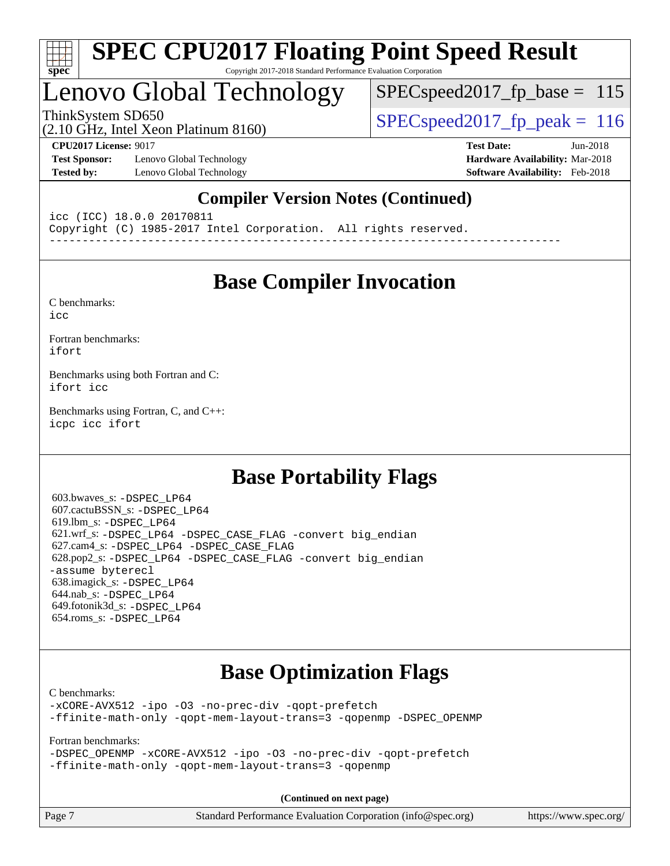

## Lenovo Global Technology

SPECspeed2017 fp base =  $115$ 

(2.10 GHz, Intel Xeon Platinum 8160)

ThinkSystem SD650 SPECspeed2017 fp\_peak = 116

**[Test Sponsor:](http://www.spec.org/auto/cpu2017/Docs/result-fields.html#TestSponsor)** Lenovo Global Technology **[Hardware Availability:](http://www.spec.org/auto/cpu2017/Docs/result-fields.html#HardwareAvailability)** Mar-2018 **[Tested by:](http://www.spec.org/auto/cpu2017/Docs/result-fields.html#Testedby)** Lenovo Global Technology **[Software Availability:](http://www.spec.org/auto/cpu2017/Docs/result-fields.html#SoftwareAvailability)** Feb-2018

**[CPU2017 License:](http://www.spec.org/auto/cpu2017/Docs/result-fields.html#CPU2017License)** 9017 **[Test Date:](http://www.spec.org/auto/cpu2017/Docs/result-fields.html#TestDate)** Jun-2018

## **[Compiler Version Notes \(Continued\)](http://www.spec.org/auto/cpu2017/Docs/result-fields.html#CompilerVersionNotes)**

icc (ICC) 18.0.0 20170811 Copyright (C) 1985-2017 Intel Corporation. All rights reserved. ------------------------------------------------------------------------------

## **[Base Compiler Invocation](http://www.spec.org/auto/cpu2017/Docs/result-fields.html#BaseCompilerInvocation)**

[C benchmarks](http://www.spec.org/auto/cpu2017/Docs/result-fields.html#Cbenchmarks): [icc](http://www.spec.org/cpu2017/results/res2018q2/cpu2017-20180612-07000.flags.html#user_CCbase_intel_icc_18.0_66fc1ee009f7361af1fbd72ca7dcefbb700085f36577c54f309893dd4ec40d12360134090235512931783d35fd58c0460139e722d5067c5574d8eaf2b3e37e92)

[Fortran benchmarks](http://www.spec.org/auto/cpu2017/Docs/result-fields.html#Fortranbenchmarks): [ifort](http://www.spec.org/cpu2017/results/res2018q2/cpu2017-20180612-07000.flags.html#user_FCbase_intel_ifort_18.0_8111460550e3ca792625aed983ce982f94888b8b503583aa7ba2b8303487b4d8a21a13e7191a45c5fd58ff318f48f9492884d4413fa793fd88dd292cad7027ca)

[Benchmarks using both Fortran and C](http://www.spec.org/auto/cpu2017/Docs/result-fields.html#BenchmarksusingbothFortranandC): [ifort](http://www.spec.org/cpu2017/results/res2018q2/cpu2017-20180612-07000.flags.html#user_CC_FCbase_intel_ifort_18.0_8111460550e3ca792625aed983ce982f94888b8b503583aa7ba2b8303487b4d8a21a13e7191a45c5fd58ff318f48f9492884d4413fa793fd88dd292cad7027ca) [icc](http://www.spec.org/cpu2017/results/res2018q2/cpu2017-20180612-07000.flags.html#user_CC_FCbase_intel_icc_18.0_66fc1ee009f7361af1fbd72ca7dcefbb700085f36577c54f309893dd4ec40d12360134090235512931783d35fd58c0460139e722d5067c5574d8eaf2b3e37e92)

[Benchmarks using Fortran, C, and C++:](http://www.spec.org/auto/cpu2017/Docs/result-fields.html#BenchmarksusingFortranCandCXX) [icpc](http://www.spec.org/cpu2017/results/res2018q2/cpu2017-20180612-07000.flags.html#user_CC_CXX_FCbase_intel_icpc_18.0_c510b6838c7f56d33e37e94d029a35b4a7bccf4766a728ee175e80a419847e808290a9b78be685c44ab727ea267ec2f070ec5dc83b407c0218cded6866a35d07) [icc](http://www.spec.org/cpu2017/results/res2018q2/cpu2017-20180612-07000.flags.html#user_CC_CXX_FCbase_intel_icc_18.0_66fc1ee009f7361af1fbd72ca7dcefbb700085f36577c54f309893dd4ec40d12360134090235512931783d35fd58c0460139e722d5067c5574d8eaf2b3e37e92) [ifort](http://www.spec.org/cpu2017/results/res2018q2/cpu2017-20180612-07000.flags.html#user_CC_CXX_FCbase_intel_ifort_18.0_8111460550e3ca792625aed983ce982f94888b8b503583aa7ba2b8303487b4d8a21a13e7191a45c5fd58ff318f48f9492884d4413fa793fd88dd292cad7027ca)

## **[Base Portability Flags](http://www.spec.org/auto/cpu2017/Docs/result-fields.html#BasePortabilityFlags)**

 603.bwaves\_s: [-DSPEC\\_LP64](http://www.spec.org/cpu2017/results/res2018q2/cpu2017-20180612-07000.flags.html#suite_basePORTABILITY603_bwaves_s_DSPEC_LP64) 607.cactuBSSN\_s: [-DSPEC\\_LP64](http://www.spec.org/cpu2017/results/res2018q2/cpu2017-20180612-07000.flags.html#suite_basePORTABILITY607_cactuBSSN_s_DSPEC_LP64) 619.lbm\_s: [-DSPEC\\_LP64](http://www.spec.org/cpu2017/results/res2018q2/cpu2017-20180612-07000.flags.html#suite_basePORTABILITY619_lbm_s_DSPEC_LP64) 621.wrf\_s: [-DSPEC\\_LP64](http://www.spec.org/cpu2017/results/res2018q2/cpu2017-20180612-07000.flags.html#suite_basePORTABILITY621_wrf_s_DSPEC_LP64) [-DSPEC\\_CASE\\_FLAG](http://www.spec.org/cpu2017/results/res2018q2/cpu2017-20180612-07000.flags.html#b621.wrf_s_baseCPORTABILITY_DSPEC_CASE_FLAG) [-convert big\\_endian](http://www.spec.org/cpu2017/results/res2018q2/cpu2017-20180612-07000.flags.html#user_baseFPORTABILITY621_wrf_s_convert_big_endian_c3194028bc08c63ac5d04de18c48ce6d347e4e562e8892b8bdbdc0214820426deb8554edfa529a3fb25a586e65a3d812c835984020483e7e73212c4d31a38223) 627.cam4\_s: [-DSPEC\\_LP64](http://www.spec.org/cpu2017/results/res2018q2/cpu2017-20180612-07000.flags.html#suite_basePORTABILITY627_cam4_s_DSPEC_LP64) [-DSPEC\\_CASE\\_FLAG](http://www.spec.org/cpu2017/results/res2018q2/cpu2017-20180612-07000.flags.html#b627.cam4_s_baseCPORTABILITY_DSPEC_CASE_FLAG) 628.pop2\_s: [-DSPEC\\_LP64](http://www.spec.org/cpu2017/results/res2018q2/cpu2017-20180612-07000.flags.html#suite_basePORTABILITY628_pop2_s_DSPEC_LP64) [-DSPEC\\_CASE\\_FLAG](http://www.spec.org/cpu2017/results/res2018q2/cpu2017-20180612-07000.flags.html#b628.pop2_s_baseCPORTABILITY_DSPEC_CASE_FLAG) [-convert big\\_endian](http://www.spec.org/cpu2017/results/res2018q2/cpu2017-20180612-07000.flags.html#user_baseFPORTABILITY628_pop2_s_convert_big_endian_c3194028bc08c63ac5d04de18c48ce6d347e4e562e8892b8bdbdc0214820426deb8554edfa529a3fb25a586e65a3d812c835984020483e7e73212c4d31a38223) [-assume byterecl](http://www.spec.org/cpu2017/results/res2018q2/cpu2017-20180612-07000.flags.html#user_baseFPORTABILITY628_pop2_s_assume_byterecl_7e47d18b9513cf18525430bbf0f2177aa9bf368bc7a059c09b2c06a34b53bd3447c950d3f8d6c70e3faf3a05c8557d66a5798b567902e8849adc142926523472) 638.imagick\_s: [-DSPEC\\_LP64](http://www.spec.org/cpu2017/results/res2018q2/cpu2017-20180612-07000.flags.html#suite_basePORTABILITY638_imagick_s_DSPEC_LP64) 644.nab\_s: [-DSPEC\\_LP64](http://www.spec.org/cpu2017/results/res2018q2/cpu2017-20180612-07000.flags.html#suite_basePORTABILITY644_nab_s_DSPEC_LP64) 649.fotonik3d\_s: [-DSPEC\\_LP64](http://www.spec.org/cpu2017/results/res2018q2/cpu2017-20180612-07000.flags.html#suite_basePORTABILITY649_fotonik3d_s_DSPEC_LP64) 654.roms\_s: [-DSPEC\\_LP64](http://www.spec.org/cpu2017/results/res2018q2/cpu2017-20180612-07000.flags.html#suite_basePORTABILITY654_roms_s_DSPEC_LP64)

## **[Base Optimization Flags](http://www.spec.org/auto/cpu2017/Docs/result-fields.html#BaseOptimizationFlags)**

[C benchmarks](http://www.spec.org/auto/cpu2017/Docs/result-fields.html#Cbenchmarks):

[-xCORE-AVX512](http://www.spec.org/cpu2017/results/res2018q2/cpu2017-20180612-07000.flags.html#user_CCbase_f-xCORE-AVX512) [-ipo](http://www.spec.org/cpu2017/results/res2018q2/cpu2017-20180612-07000.flags.html#user_CCbase_f-ipo) [-O3](http://www.spec.org/cpu2017/results/res2018q2/cpu2017-20180612-07000.flags.html#user_CCbase_f-O3) [-no-prec-div](http://www.spec.org/cpu2017/results/res2018q2/cpu2017-20180612-07000.flags.html#user_CCbase_f-no-prec-div) [-qopt-prefetch](http://www.spec.org/cpu2017/results/res2018q2/cpu2017-20180612-07000.flags.html#user_CCbase_f-qopt-prefetch) [-ffinite-math-only](http://www.spec.org/cpu2017/results/res2018q2/cpu2017-20180612-07000.flags.html#user_CCbase_f_finite_math_only_cb91587bd2077682c4b38af759c288ed7c732db004271a9512da14a4f8007909a5f1427ecbf1a0fb78ff2a814402c6114ac565ca162485bbcae155b5e4258871) [-qopt-mem-layout-trans=3](http://www.spec.org/cpu2017/results/res2018q2/cpu2017-20180612-07000.flags.html#user_CCbase_f-qopt-mem-layout-trans_de80db37974c74b1f0e20d883f0b675c88c3b01e9d123adea9b28688d64333345fb62bc4a798493513fdb68f60282f9a726aa07f478b2f7113531aecce732043) [-qopenmp](http://www.spec.org/cpu2017/results/res2018q2/cpu2017-20180612-07000.flags.html#user_CCbase_qopenmp_16be0c44f24f464004c6784a7acb94aca937f053568ce72f94b139a11c7c168634a55f6653758ddd83bcf7b8463e8028bb0b48b77bcddc6b78d5d95bb1df2967) [-DSPEC\\_OPENMP](http://www.spec.org/cpu2017/results/res2018q2/cpu2017-20180612-07000.flags.html#suite_CCbase_DSPEC_OPENMP)

[Fortran benchmarks](http://www.spec.org/auto/cpu2017/Docs/result-fields.html#Fortranbenchmarks):

[-DSPEC\\_OPENMP](http://www.spec.org/cpu2017/results/res2018q2/cpu2017-20180612-07000.flags.html#suite_FCbase_DSPEC_OPENMP) [-xCORE-AVX512](http://www.spec.org/cpu2017/results/res2018q2/cpu2017-20180612-07000.flags.html#user_FCbase_f-xCORE-AVX512) [-ipo](http://www.spec.org/cpu2017/results/res2018q2/cpu2017-20180612-07000.flags.html#user_FCbase_f-ipo) [-O3](http://www.spec.org/cpu2017/results/res2018q2/cpu2017-20180612-07000.flags.html#user_FCbase_f-O3) [-no-prec-div](http://www.spec.org/cpu2017/results/res2018q2/cpu2017-20180612-07000.flags.html#user_FCbase_f-no-prec-div) [-qopt-prefetch](http://www.spec.org/cpu2017/results/res2018q2/cpu2017-20180612-07000.flags.html#user_FCbase_f-qopt-prefetch) [-ffinite-math-only](http://www.spec.org/cpu2017/results/res2018q2/cpu2017-20180612-07000.flags.html#user_FCbase_f_finite_math_only_cb91587bd2077682c4b38af759c288ed7c732db004271a9512da14a4f8007909a5f1427ecbf1a0fb78ff2a814402c6114ac565ca162485bbcae155b5e4258871) [-qopt-mem-layout-trans=3](http://www.spec.org/cpu2017/results/res2018q2/cpu2017-20180612-07000.flags.html#user_FCbase_f-qopt-mem-layout-trans_de80db37974c74b1f0e20d883f0b675c88c3b01e9d123adea9b28688d64333345fb62bc4a798493513fdb68f60282f9a726aa07f478b2f7113531aecce732043) [-qopenmp](http://www.spec.org/cpu2017/results/res2018q2/cpu2017-20180612-07000.flags.html#user_FCbase_qopenmp_16be0c44f24f464004c6784a7acb94aca937f053568ce72f94b139a11c7c168634a55f6653758ddd83bcf7b8463e8028bb0b48b77bcddc6b78d5d95bb1df2967)

**(Continued on next page)**

| Page 7 | Standard Performance Evaluation Corporation (info@spec.org) | https://www.spec.org/ |
|--------|-------------------------------------------------------------|-----------------------|
|        |                                                             |                       |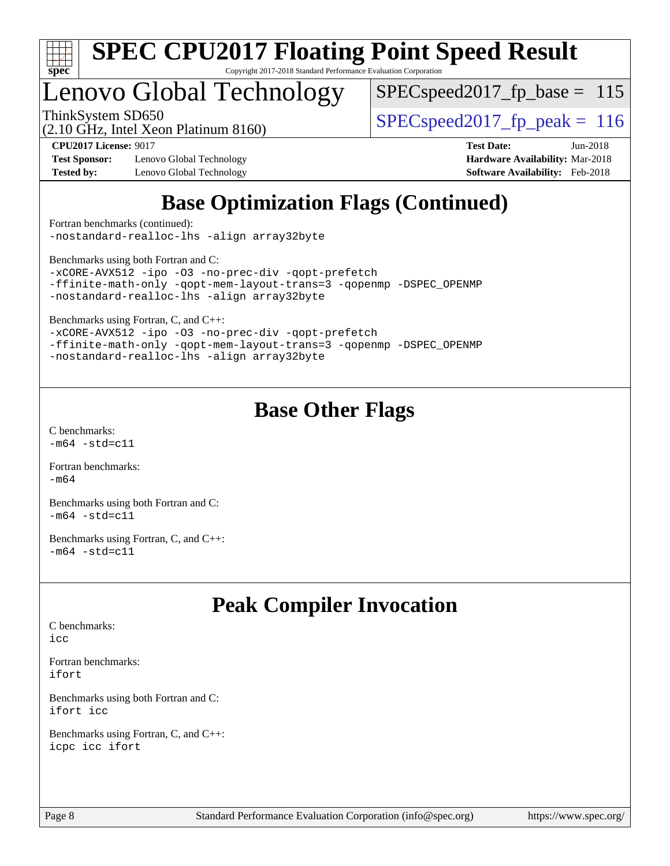

# Lenovo Global Technology

 $SPEC speed2017_fp\_base = 115$ 

(2.10 GHz, Intel Xeon Platinum 8160)

ThinkSystem SD650  $SPEC speed2017$  fp\_peak = 116

**[Test Sponsor:](http://www.spec.org/auto/cpu2017/Docs/result-fields.html#TestSponsor)** Lenovo Global Technology **[Hardware Availability:](http://www.spec.org/auto/cpu2017/Docs/result-fields.html#HardwareAvailability)** Mar-2018 **[Tested by:](http://www.spec.org/auto/cpu2017/Docs/result-fields.html#Testedby)** Lenovo Global Technology **[Software Availability:](http://www.spec.org/auto/cpu2017/Docs/result-fields.html#SoftwareAvailability)** Feb-2018

**[CPU2017 License:](http://www.spec.org/auto/cpu2017/Docs/result-fields.html#CPU2017License)** 9017 **[Test Date:](http://www.spec.org/auto/cpu2017/Docs/result-fields.html#TestDate)** Jun-2018

## **[Base Optimization Flags \(Continued\)](http://www.spec.org/auto/cpu2017/Docs/result-fields.html#BaseOptimizationFlags)**

[Fortran benchmarks](http://www.spec.org/auto/cpu2017/Docs/result-fields.html#Fortranbenchmarks) (continued): [-nostandard-realloc-lhs](http://www.spec.org/cpu2017/results/res2018q2/cpu2017-20180612-07000.flags.html#user_FCbase_f_2003_std_realloc_82b4557e90729c0f113870c07e44d33d6f5a304b4f63d4c15d2d0f1fab99f5daaed73bdb9275d9ae411527f28b936061aa8b9c8f2d63842963b95c9dd6426b8a) [-align array32byte](http://www.spec.org/cpu2017/results/res2018q2/cpu2017-20180612-07000.flags.html#user_FCbase_align_array32byte_b982fe038af199962ba9a80c053b8342c548c85b40b8e86eb3cc33dee0d7986a4af373ac2d51c3f7cf710a18d62fdce2948f201cd044323541f22fc0fffc51b6)

[Benchmarks using both Fortran and C](http://www.spec.org/auto/cpu2017/Docs/result-fields.html#BenchmarksusingbothFortranandC):

[-xCORE-AVX512](http://www.spec.org/cpu2017/results/res2018q2/cpu2017-20180612-07000.flags.html#user_CC_FCbase_f-xCORE-AVX512) [-ipo](http://www.spec.org/cpu2017/results/res2018q2/cpu2017-20180612-07000.flags.html#user_CC_FCbase_f-ipo) [-O3](http://www.spec.org/cpu2017/results/res2018q2/cpu2017-20180612-07000.flags.html#user_CC_FCbase_f-O3) [-no-prec-div](http://www.spec.org/cpu2017/results/res2018q2/cpu2017-20180612-07000.flags.html#user_CC_FCbase_f-no-prec-div) [-qopt-prefetch](http://www.spec.org/cpu2017/results/res2018q2/cpu2017-20180612-07000.flags.html#user_CC_FCbase_f-qopt-prefetch) [-ffinite-math-only](http://www.spec.org/cpu2017/results/res2018q2/cpu2017-20180612-07000.flags.html#user_CC_FCbase_f_finite_math_only_cb91587bd2077682c4b38af759c288ed7c732db004271a9512da14a4f8007909a5f1427ecbf1a0fb78ff2a814402c6114ac565ca162485bbcae155b5e4258871) [-qopt-mem-layout-trans=3](http://www.spec.org/cpu2017/results/res2018q2/cpu2017-20180612-07000.flags.html#user_CC_FCbase_f-qopt-mem-layout-trans_de80db37974c74b1f0e20d883f0b675c88c3b01e9d123adea9b28688d64333345fb62bc4a798493513fdb68f60282f9a726aa07f478b2f7113531aecce732043) [-qopenmp](http://www.spec.org/cpu2017/results/res2018q2/cpu2017-20180612-07000.flags.html#user_CC_FCbase_qopenmp_16be0c44f24f464004c6784a7acb94aca937f053568ce72f94b139a11c7c168634a55f6653758ddd83bcf7b8463e8028bb0b48b77bcddc6b78d5d95bb1df2967) [-DSPEC\\_OPENMP](http://www.spec.org/cpu2017/results/res2018q2/cpu2017-20180612-07000.flags.html#suite_CC_FCbase_DSPEC_OPENMP) [-nostandard-realloc-lhs](http://www.spec.org/cpu2017/results/res2018q2/cpu2017-20180612-07000.flags.html#user_CC_FCbase_f_2003_std_realloc_82b4557e90729c0f113870c07e44d33d6f5a304b4f63d4c15d2d0f1fab99f5daaed73bdb9275d9ae411527f28b936061aa8b9c8f2d63842963b95c9dd6426b8a) [-align array32byte](http://www.spec.org/cpu2017/results/res2018q2/cpu2017-20180612-07000.flags.html#user_CC_FCbase_align_array32byte_b982fe038af199962ba9a80c053b8342c548c85b40b8e86eb3cc33dee0d7986a4af373ac2d51c3f7cf710a18d62fdce2948f201cd044323541f22fc0fffc51b6)

[Benchmarks using Fortran, C, and C++:](http://www.spec.org/auto/cpu2017/Docs/result-fields.html#BenchmarksusingFortranCandCXX)

[-xCORE-AVX512](http://www.spec.org/cpu2017/results/res2018q2/cpu2017-20180612-07000.flags.html#user_CC_CXX_FCbase_f-xCORE-AVX512) [-ipo](http://www.spec.org/cpu2017/results/res2018q2/cpu2017-20180612-07000.flags.html#user_CC_CXX_FCbase_f-ipo) [-O3](http://www.spec.org/cpu2017/results/res2018q2/cpu2017-20180612-07000.flags.html#user_CC_CXX_FCbase_f-O3) [-no-prec-div](http://www.spec.org/cpu2017/results/res2018q2/cpu2017-20180612-07000.flags.html#user_CC_CXX_FCbase_f-no-prec-div) [-qopt-prefetch](http://www.spec.org/cpu2017/results/res2018q2/cpu2017-20180612-07000.flags.html#user_CC_CXX_FCbase_f-qopt-prefetch) [-ffinite-math-only](http://www.spec.org/cpu2017/results/res2018q2/cpu2017-20180612-07000.flags.html#user_CC_CXX_FCbase_f_finite_math_only_cb91587bd2077682c4b38af759c288ed7c732db004271a9512da14a4f8007909a5f1427ecbf1a0fb78ff2a814402c6114ac565ca162485bbcae155b5e4258871) [-qopt-mem-layout-trans=3](http://www.spec.org/cpu2017/results/res2018q2/cpu2017-20180612-07000.flags.html#user_CC_CXX_FCbase_f-qopt-mem-layout-trans_de80db37974c74b1f0e20d883f0b675c88c3b01e9d123adea9b28688d64333345fb62bc4a798493513fdb68f60282f9a726aa07f478b2f7113531aecce732043) [-qopenmp](http://www.spec.org/cpu2017/results/res2018q2/cpu2017-20180612-07000.flags.html#user_CC_CXX_FCbase_qopenmp_16be0c44f24f464004c6784a7acb94aca937f053568ce72f94b139a11c7c168634a55f6653758ddd83bcf7b8463e8028bb0b48b77bcddc6b78d5d95bb1df2967) [-DSPEC\\_OPENMP](http://www.spec.org/cpu2017/results/res2018q2/cpu2017-20180612-07000.flags.html#suite_CC_CXX_FCbase_DSPEC_OPENMP) [-nostandard-realloc-lhs](http://www.spec.org/cpu2017/results/res2018q2/cpu2017-20180612-07000.flags.html#user_CC_CXX_FCbase_f_2003_std_realloc_82b4557e90729c0f113870c07e44d33d6f5a304b4f63d4c15d2d0f1fab99f5daaed73bdb9275d9ae411527f28b936061aa8b9c8f2d63842963b95c9dd6426b8a) [-align array32byte](http://www.spec.org/cpu2017/results/res2018q2/cpu2017-20180612-07000.flags.html#user_CC_CXX_FCbase_align_array32byte_b982fe038af199962ba9a80c053b8342c548c85b40b8e86eb3cc33dee0d7986a4af373ac2d51c3f7cf710a18d62fdce2948f201cd044323541f22fc0fffc51b6)

## **[Base Other Flags](http://www.spec.org/auto/cpu2017/Docs/result-fields.html#BaseOtherFlags)**

[C benchmarks](http://www.spec.org/auto/cpu2017/Docs/result-fields.html#Cbenchmarks):  $-m64 - std= c11$  $-m64 - std= c11$ 

[Fortran benchmarks](http://www.spec.org/auto/cpu2017/Docs/result-fields.html#Fortranbenchmarks): [-m64](http://www.spec.org/cpu2017/results/res2018q2/cpu2017-20180612-07000.flags.html#user_FCbase_intel_intel64_18.0_af43caccfc8ded86e7699f2159af6efc7655f51387b94da716254467f3c01020a5059329e2569e4053f409e7c9202a7efc638f7a6d1ffb3f52dea4a3e31d82ab)

[Benchmarks using both Fortran and C](http://www.spec.org/auto/cpu2017/Docs/result-fields.html#BenchmarksusingbothFortranandC):  $-m64 - std= c11$  $-m64 - std= c11$ 

[Benchmarks using Fortran, C, and C++:](http://www.spec.org/auto/cpu2017/Docs/result-fields.html#BenchmarksusingFortranCandCXX)  $-m64 - std= c11$  $-m64 - std= c11$ 

## **[Peak Compiler Invocation](http://www.spec.org/auto/cpu2017/Docs/result-fields.html#PeakCompilerInvocation)**

[C benchmarks](http://www.spec.org/auto/cpu2017/Docs/result-fields.html#Cbenchmarks): [icc](http://www.spec.org/cpu2017/results/res2018q2/cpu2017-20180612-07000.flags.html#user_CCpeak_intel_icc_18.0_66fc1ee009f7361af1fbd72ca7dcefbb700085f36577c54f309893dd4ec40d12360134090235512931783d35fd58c0460139e722d5067c5574d8eaf2b3e37e92)

[Fortran benchmarks](http://www.spec.org/auto/cpu2017/Docs/result-fields.html#Fortranbenchmarks): [ifort](http://www.spec.org/cpu2017/results/res2018q2/cpu2017-20180612-07000.flags.html#user_FCpeak_intel_ifort_18.0_8111460550e3ca792625aed983ce982f94888b8b503583aa7ba2b8303487b4d8a21a13e7191a45c5fd58ff318f48f9492884d4413fa793fd88dd292cad7027ca)

[Benchmarks using both Fortran and C](http://www.spec.org/auto/cpu2017/Docs/result-fields.html#BenchmarksusingbothFortranandC): [ifort](http://www.spec.org/cpu2017/results/res2018q2/cpu2017-20180612-07000.flags.html#user_CC_FCpeak_intel_ifort_18.0_8111460550e3ca792625aed983ce982f94888b8b503583aa7ba2b8303487b4d8a21a13e7191a45c5fd58ff318f48f9492884d4413fa793fd88dd292cad7027ca) [icc](http://www.spec.org/cpu2017/results/res2018q2/cpu2017-20180612-07000.flags.html#user_CC_FCpeak_intel_icc_18.0_66fc1ee009f7361af1fbd72ca7dcefbb700085f36577c54f309893dd4ec40d12360134090235512931783d35fd58c0460139e722d5067c5574d8eaf2b3e37e92)

[Benchmarks using Fortran, C, and C++:](http://www.spec.org/auto/cpu2017/Docs/result-fields.html#BenchmarksusingFortranCandCXX) [icpc](http://www.spec.org/cpu2017/results/res2018q2/cpu2017-20180612-07000.flags.html#user_CC_CXX_FCpeak_intel_icpc_18.0_c510b6838c7f56d33e37e94d029a35b4a7bccf4766a728ee175e80a419847e808290a9b78be685c44ab727ea267ec2f070ec5dc83b407c0218cded6866a35d07) [icc](http://www.spec.org/cpu2017/results/res2018q2/cpu2017-20180612-07000.flags.html#user_CC_CXX_FCpeak_intel_icc_18.0_66fc1ee009f7361af1fbd72ca7dcefbb700085f36577c54f309893dd4ec40d12360134090235512931783d35fd58c0460139e722d5067c5574d8eaf2b3e37e92) [ifort](http://www.spec.org/cpu2017/results/res2018q2/cpu2017-20180612-07000.flags.html#user_CC_CXX_FCpeak_intel_ifort_18.0_8111460550e3ca792625aed983ce982f94888b8b503583aa7ba2b8303487b4d8a21a13e7191a45c5fd58ff318f48f9492884d4413fa793fd88dd292cad7027ca)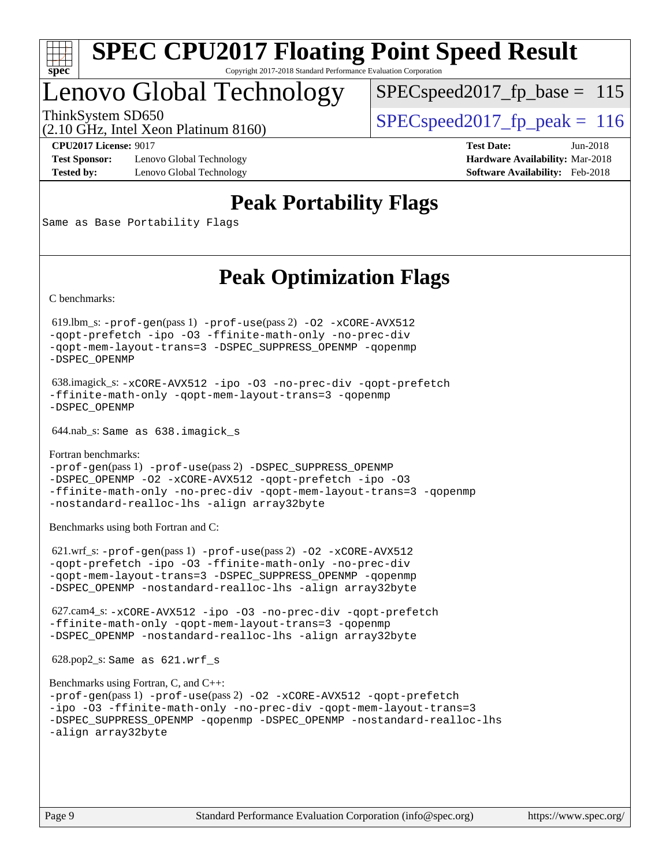

## Lenovo Global Technology

 $SPEC speed2017_fp\_base = 115$ 

(2.10 GHz, Intel Xeon Platinum 8160)

ThinkSystem SD650  $SPEC speed2017$  fp\_peak = 116

**[Test Sponsor:](http://www.spec.org/auto/cpu2017/Docs/result-fields.html#TestSponsor)** Lenovo Global Technology **[Hardware Availability:](http://www.spec.org/auto/cpu2017/Docs/result-fields.html#HardwareAvailability)** Mar-2018 **[Tested by:](http://www.spec.org/auto/cpu2017/Docs/result-fields.html#Testedby)** Lenovo Global Technology **[Software Availability:](http://www.spec.org/auto/cpu2017/Docs/result-fields.html#SoftwareAvailability)** Feb-2018

**[CPU2017 License:](http://www.spec.org/auto/cpu2017/Docs/result-fields.html#CPU2017License)** 9017 **[Test Date:](http://www.spec.org/auto/cpu2017/Docs/result-fields.html#TestDate)** Jun-2018

## **[Peak Portability Flags](http://www.spec.org/auto/cpu2017/Docs/result-fields.html#PeakPortabilityFlags)**

Same as Base Portability Flags

## **[Peak Optimization Flags](http://www.spec.org/auto/cpu2017/Docs/result-fields.html#PeakOptimizationFlags)**

[C benchmarks](http://www.spec.org/auto/cpu2017/Docs/result-fields.html#Cbenchmarks):

 619.lbm\_s: [-prof-gen](http://www.spec.org/cpu2017/results/res2018q2/cpu2017-20180612-07000.flags.html#user_peakPASS1_CFLAGSPASS1_LDFLAGS619_lbm_s_prof_gen_5aa4926d6013ddb2a31985c654b3eb18169fc0c6952a63635c234f711e6e63dd76e94ad52365559451ec499a2cdb89e4dc58ba4c67ef54ca681ffbe1461d6b36)(pass 1) [-prof-use](http://www.spec.org/cpu2017/results/res2018q2/cpu2017-20180612-07000.flags.html#user_peakPASS2_CFLAGSPASS2_LDFLAGS619_lbm_s_prof_use_1a21ceae95f36a2b53c25747139a6c16ca95bd9def2a207b4f0849963b97e94f5260e30a0c64f4bb623698870e679ca08317ef8150905d41bd88c6f78df73f19)(pass 2) [-O2](http://www.spec.org/cpu2017/results/res2018q2/cpu2017-20180612-07000.flags.html#user_peakPASS1_COPTIMIZE619_lbm_s_f-O2) [-xCORE-AVX512](http://www.spec.org/cpu2017/results/res2018q2/cpu2017-20180612-07000.flags.html#user_peakPASS2_COPTIMIZE619_lbm_s_f-xCORE-AVX512) [-qopt-prefetch](http://www.spec.org/cpu2017/results/res2018q2/cpu2017-20180612-07000.flags.html#user_peakPASS1_COPTIMIZEPASS2_COPTIMIZE619_lbm_s_f-qopt-prefetch) [-ipo](http://www.spec.org/cpu2017/results/res2018q2/cpu2017-20180612-07000.flags.html#user_peakPASS2_COPTIMIZE619_lbm_s_f-ipo) [-O3](http://www.spec.org/cpu2017/results/res2018q2/cpu2017-20180612-07000.flags.html#user_peakPASS2_COPTIMIZE619_lbm_s_f-O3) [-ffinite-math-only](http://www.spec.org/cpu2017/results/res2018q2/cpu2017-20180612-07000.flags.html#user_peakPASS1_COPTIMIZEPASS2_COPTIMIZE619_lbm_s_f_finite_math_only_cb91587bd2077682c4b38af759c288ed7c732db004271a9512da14a4f8007909a5f1427ecbf1a0fb78ff2a814402c6114ac565ca162485bbcae155b5e4258871) [-no-prec-div](http://www.spec.org/cpu2017/results/res2018q2/cpu2017-20180612-07000.flags.html#user_peakPASS2_COPTIMIZE619_lbm_s_f-no-prec-div) [-qopt-mem-layout-trans=3](http://www.spec.org/cpu2017/results/res2018q2/cpu2017-20180612-07000.flags.html#user_peakPASS1_COPTIMIZEPASS2_COPTIMIZE619_lbm_s_f-qopt-mem-layout-trans_de80db37974c74b1f0e20d883f0b675c88c3b01e9d123adea9b28688d64333345fb62bc4a798493513fdb68f60282f9a726aa07f478b2f7113531aecce732043) [-DSPEC\\_SUPPRESS\\_OPENMP](http://www.spec.org/cpu2017/results/res2018q2/cpu2017-20180612-07000.flags.html#suite_peakPASS1_COPTIMIZE619_lbm_s_DSPEC_SUPPRESS_OPENMP) [-qopenmp](http://www.spec.org/cpu2017/results/res2018q2/cpu2017-20180612-07000.flags.html#user_peakPASS2_COPTIMIZE619_lbm_s_qopenmp_16be0c44f24f464004c6784a7acb94aca937f053568ce72f94b139a11c7c168634a55f6653758ddd83bcf7b8463e8028bb0b48b77bcddc6b78d5d95bb1df2967) [-DSPEC\\_OPENMP](http://www.spec.org/cpu2017/results/res2018q2/cpu2017-20180612-07000.flags.html#suite_peakPASS2_COPTIMIZE619_lbm_s_DSPEC_OPENMP)

 638.imagick\_s: [-xCORE-AVX512](http://www.spec.org/cpu2017/results/res2018q2/cpu2017-20180612-07000.flags.html#user_peakCOPTIMIZE638_imagick_s_f-xCORE-AVX512) [-ipo](http://www.spec.org/cpu2017/results/res2018q2/cpu2017-20180612-07000.flags.html#user_peakCOPTIMIZE638_imagick_s_f-ipo) [-O3](http://www.spec.org/cpu2017/results/res2018q2/cpu2017-20180612-07000.flags.html#user_peakCOPTIMIZE638_imagick_s_f-O3) [-no-prec-div](http://www.spec.org/cpu2017/results/res2018q2/cpu2017-20180612-07000.flags.html#user_peakCOPTIMIZE638_imagick_s_f-no-prec-div) [-qopt-prefetch](http://www.spec.org/cpu2017/results/res2018q2/cpu2017-20180612-07000.flags.html#user_peakCOPTIMIZE638_imagick_s_f-qopt-prefetch) [-ffinite-math-only](http://www.spec.org/cpu2017/results/res2018q2/cpu2017-20180612-07000.flags.html#user_peakCOPTIMIZE638_imagick_s_f_finite_math_only_cb91587bd2077682c4b38af759c288ed7c732db004271a9512da14a4f8007909a5f1427ecbf1a0fb78ff2a814402c6114ac565ca162485bbcae155b5e4258871) [-qopt-mem-layout-trans=3](http://www.spec.org/cpu2017/results/res2018q2/cpu2017-20180612-07000.flags.html#user_peakCOPTIMIZE638_imagick_s_f-qopt-mem-layout-trans_de80db37974c74b1f0e20d883f0b675c88c3b01e9d123adea9b28688d64333345fb62bc4a798493513fdb68f60282f9a726aa07f478b2f7113531aecce732043) [-qopenmp](http://www.spec.org/cpu2017/results/res2018q2/cpu2017-20180612-07000.flags.html#user_peakCOPTIMIZE638_imagick_s_qopenmp_16be0c44f24f464004c6784a7acb94aca937f053568ce72f94b139a11c7c168634a55f6653758ddd83bcf7b8463e8028bb0b48b77bcddc6b78d5d95bb1df2967) [-DSPEC\\_OPENMP](http://www.spec.org/cpu2017/results/res2018q2/cpu2017-20180612-07000.flags.html#suite_peakCOPTIMIZE638_imagick_s_DSPEC_OPENMP)

644.nab\_s: Same as 638.imagick\_s

[Fortran benchmarks](http://www.spec.org/auto/cpu2017/Docs/result-fields.html#Fortranbenchmarks): [-prof-gen](http://www.spec.org/cpu2017/results/res2018q2/cpu2017-20180612-07000.flags.html#user_FCpeak_prof_gen_5aa4926d6013ddb2a31985c654b3eb18169fc0c6952a63635c234f711e6e63dd76e94ad52365559451ec499a2cdb89e4dc58ba4c67ef54ca681ffbe1461d6b36)(pass 1) [-prof-use](http://www.spec.org/cpu2017/results/res2018q2/cpu2017-20180612-07000.flags.html#user_FCpeak_prof_use_1a21ceae95f36a2b53c25747139a6c16ca95bd9def2a207b4f0849963b97e94f5260e30a0c64f4bb623698870e679ca08317ef8150905d41bd88c6f78df73f19)(pass 2) [-DSPEC\\_SUPPRESS\\_OPENMP](http://www.spec.org/cpu2017/results/res2018q2/cpu2017-20180612-07000.flags.html#suite_FCpeak_DSPEC_SUPPRESS_OPENMP) [-DSPEC\\_OPENMP](http://www.spec.org/cpu2017/results/res2018q2/cpu2017-20180612-07000.flags.html#suite_FCpeak_DSPEC_OPENMP) [-O2](http://www.spec.org/cpu2017/results/res2018q2/cpu2017-20180612-07000.flags.html#user_FCpeak_f-O2) [-xCORE-AVX512](http://www.spec.org/cpu2017/results/res2018q2/cpu2017-20180612-07000.flags.html#user_FCpeak_f-xCORE-AVX512) [-qopt-prefetch](http://www.spec.org/cpu2017/results/res2018q2/cpu2017-20180612-07000.flags.html#user_FCpeak_f-qopt-prefetch) [-ipo](http://www.spec.org/cpu2017/results/res2018q2/cpu2017-20180612-07000.flags.html#user_FCpeak_f-ipo) [-O3](http://www.spec.org/cpu2017/results/res2018q2/cpu2017-20180612-07000.flags.html#user_FCpeak_f-O3) [-ffinite-math-only](http://www.spec.org/cpu2017/results/res2018q2/cpu2017-20180612-07000.flags.html#user_FCpeak_f_finite_math_only_cb91587bd2077682c4b38af759c288ed7c732db004271a9512da14a4f8007909a5f1427ecbf1a0fb78ff2a814402c6114ac565ca162485bbcae155b5e4258871) [-no-prec-div](http://www.spec.org/cpu2017/results/res2018q2/cpu2017-20180612-07000.flags.html#user_FCpeak_f-no-prec-div) [-qopt-mem-layout-trans=3](http://www.spec.org/cpu2017/results/res2018q2/cpu2017-20180612-07000.flags.html#user_FCpeak_f-qopt-mem-layout-trans_de80db37974c74b1f0e20d883f0b675c88c3b01e9d123adea9b28688d64333345fb62bc4a798493513fdb68f60282f9a726aa07f478b2f7113531aecce732043) [-qopenmp](http://www.spec.org/cpu2017/results/res2018q2/cpu2017-20180612-07000.flags.html#user_FCpeak_qopenmp_16be0c44f24f464004c6784a7acb94aca937f053568ce72f94b139a11c7c168634a55f6653758ddd83bcf7b8463e8028bb0b48b77bcddc6b78d5d95bb1df2967) [-nostandard-realloc-lhs](http://www.spec.org/cpu2017/results/res2018q2/cpu2017-20180612-07000.flags.html#user_FCpeak_f_2003_std_realloc_82b4557e90729c0f113870c07e44d33d6f5a304b4f63d4c15d2d0f1fab99f5daaed73bdb9275d9ae411527f28b936061aa8b9c8f2d63842963b95c9dd6426b8a) [-align array32byte](http://www.spec.org/cpu2017/results/res2018q2/cpu2017-20180612-07000.flags.html#user_FCpeak_align_array32byte_b982fe038af199962ba9a80c053b8342c548c85b40b8e86eb3cc33dee0d7986a4af373ac2d51c3f7cf710a18d62fdce2948f201cd044323541f22fc0fffc51b6)

[Benchmarks using both Fortran and C](http://www.spec.org/auto/cpu2017/Docs/result-fields.html#BenchmarksusingbothFortranandC):

 621.wrf\_s: [-prof-gen](http://www.spec.org/cpu2017/results/res2018q2/cpu2017-20180612-07000.flags.html#user_peakPASS1_CFLAGSPASS1_FFLAGSPASS1_LDFLAGS621_wrf_s_prof_gen_5aa4926d6013ddb2a31985c654b3eb18169fc0c6952a63635c234f711e6e63dd76e94ad52365559451ec499a2cdb89e4dc58ba4c67ef54ca681ffbe1461d6b36)(pass 1) [-prof-use](http://www.spec.org/cpu2017/results/res2018q2/cpu2017-20180612-07000.flags.html#user_peakPASS2_CFLAGSPASS2_FFLAGSPASS2_LDFLAGS621_wrf_s_prof_use_1a21ceae95f36a2b53c25747139a6c16ca95bd9def2a207b4f0849963b97e94f5260e30a0c64f4bb623698870e679ca08317ef8150905d41bd88c6f78df73f19)(pass 2) [-O2](http://www.spec.org/cpu2017/results/res2018q2/cpu2017-20180612-07000.flags.html#user_peakPASS1_COPTIMIZEPASS1_FOPTIMIZE621_wrf_s_f-O2) [-xCORE-AVX512](http://www.spec.org/cpu2017/results/res2018q2/cpu2017-20180612-07000.flags.html#user_peakPASS2_COPTIMIZEPASS2_FOPTIMIZE621_wrf_s_f-xCORE-AVX512) [-qopt-prefetch](http://www.spec.org/cpu2017/results/res2018q2/cpu2017-20180612-07000.flags.html#user_peakPASS1_COPTIMIZEPASS1_FOPTIMIZEPASS2_COPTIMIZEPASS2_FOPTIMIZE621_wrf_s_f-qopt-prefetch) [-ipo](http://www.spec.org/cpu2017/results/res2018q2/cpu2017-20180612-07000.flags.html#user_peakPASS2_COPTIMIZEPASS2_FOPTIMIZE621_wrf_s_f-ipo) [-O3](http://www.spec.org/cpu2017/results/res2018q2/cpu2017-20180612-07000.flags.html#user_peakPASS2_COPTIMIZEPASS2_FOPTIMIZE621_wrf_s_f-O3) [-ffinite-math-only](http://www.spec.org/cpu2017/results/res2018q2/cpu2017-20180612-07000.flags.html#user_peakPASS1_COPTIMIZEPASS1_FOPTIMIZEPASS2_COPTIMIZEPASS2_FOPTIMIZE621_wrf_s_f_finite_math_only_cb91587bd2077682c4b38af759c288ed7c732db004271a9512da14a4f8007909a5f1427ecbf1a0fb78ff2a814402c6114ac565ca162485bbcae155b5e4258871) [-no-prec-div](http://www.spec.org/cpu2017/results/res2018q2/cpu2017-20180612-07000.flags.html#user_peakPASS2_COPTIMIZEPASS2_FOPTIMIZE621_wrf_s_f-no-prec-div) [-qopt-mem-layout-trans=3](http://www.spec.org/cpu2017/results/res2018q2/cpu2017-20180612-07000.flags.html#user_peakPASS1_COPTIMIZEPASS1_FOPTIMIZEPASS2_COPTIMIZEPASS2_FOPTIMIZE621_wrf_s_f-qopt-mem-layout-trans_de80db37974c74b1f0e20d883f0b675c88c3b01e9d123adea9b28688d64333345fb62bc4a798493513fdb68f60282f9a726aa07f478b2f7113531aecce732043) [-DSPEC\\_SUPPRESS\\_OPENMP](http://www.spec.org/cpu2017/results/res2018q2/cpu2017-20180612-07000.flags.html#suite_peakPASS1_COPTIMIZEPASS1_FOPTIMIZE621_wrf_s_DSPEC_SUPPRESS_OPENMP) [-qopenmp](http://www.spec.org/cpu2017/results/res2018q2/cpu2017-20180612-07000.flags.html#user_peakPASS2_COPTIMIZEPASS2_FOPTIMIZE621_wrf_s_qopenmp_16be0c44f24f464004c6784a7acb94aca937f053568ce72f94b139a11c7c168634a55f6653758ddd83bcf7b8463e8028bb0b48b77bcddc6b78d5d95bb1df2967) [-DSPEC\\_OPENMP](http://www.spec.org/cpu2017/results/res2018q2/cpu2017-20180612-07000.flags.html#suite_peakPASS2_COPTIMIZEPASS2_FOPTIMIZE621_wrf_s_DSPEC_OPENMP) [-nostandard-realloc-lhs](http://www.spec.org/cpu2017/results/res2018q2/cpu2017-20180612-07000.flags.html#user_peakEXTRA_FOPTIMIZE621_wrf_s_f_2003_std_realloc_82b4557e90729c0f113870c07e44d33d6f5a304b4f63d4c15d2d0f1fab99f5daaed73bdb9275d9ae411527f28b936061aa8b9c8f2d63842963b95c9dd6426b8a) [-align array32byte](http://www.spec.org/cpu2017/results/res2018q2/cpu2017-20180612-07000.flags.html#user_peakEXTRA_FOPTIMIZE621_wrf_s_align_array32byte_b982fe038af199962ba9a80c053b8342c548c85b40b8e86eb3cc33dee0d7986a4af373ac2d51c3f7cf710a18d62fdce2948f201cd044323541f22fc0fffc51b6)

 627.cam4\_s: [-xCORE-AVX512](http://www.spec.org/cpu2017/results/res2018q2/cpu2017-20180612-07000.flags.html#user_peakCOPTIMIZEFOPTIMIZE627_cam4_s_f-xCORE-AVX512) [-ipo](http://www.spec.org/cpu2017/results/res2018q2/cpu2017-20180612-07000.flags.html#user_peakCOPTIMIZEFOPTIMIZE627_cam4_s_f-ipo) [-O3](http://www.spec.org/cpu2017/results/res2018q2/cpu2017-20180612-07000.flags.html#user_peakCOPTIMIZEFOPTIMIZE627_cam4_s_f-O3) [-no-prec-div](http://www.spec.org/cpu2017/results/res2018q2/cpu2017-20180612-07000.flags.html#user_peakCOPTIMIZEFOPTIMIZE627_cam4_s_f-no-prec-div) [-qopt-prefetch](http://www.spec.org/cpu2017/results/res2018q2/cpu2017-20180612-07000.flags.html#user_peakCOPTIMIZEFOPTIMIZE627_cam4_s_f-qopt-prefetch) [-ffinite-math-only](http://www.spec.org/cpu2017/results/res2018q2/cpu2017-20180612-07000.flags.html#user_peakCOPTIMIZEFOPTIMIZE627_cam4_s_f_finite_math_only_cb91587bd2077682c4b38af759c288ed7c732db004271a9512da14a4f8007909a5f1427ecbf1a0fb78ff2a814402c6114ac565ca162485bbcae155b5e4258871) [-qopt-mem-layout-trans=3](http://www.spec.org/cpu2017/results/res2018q2/cpu2017-20180612-07000.flags.html#user_peakCOPTIMIZEFOPTIMIZE627_cam4_s_f-qopt-mem-layout-trans_de80db37974c74b1f0e20d883f0b675c88c3b01e9d123adea9b28688d64333345fb62bc4a798493513fdb68f60282f9a726aa07f478b2f7113531aecce732043) [-qopenmp](http://www.spec.org/cpu2017/results/res2018q2/cpu2017-20180612-07000.flags.html#user_peakCOPTIMIZEFOPTIMIZE627_cam4_s_qopenmp_16be0c44f24f464004c6784a7acb94aca937f053568ce72f94b139a11c7c168634a55f6653758ddd83bcf7b8463e8028bb0b48b77bcddc6b78d5d95bb1df2967) [-DSPEC\\_OPENMP](http://www.spec.org/cpu2017/results/res2018q2/cpu2017-20180612-07000.flags.html#suite_peakCOPTIMIZEFOPTIMIZE627_cam4_s_DSPEC_OPENMP) [-nostandard-realloc-lhs](http://www.spec.org/cpu2017/results/res2018q2/cpu2017-20180612-07000.flags.html#user_peakEXTRA_FOPTIMIZE627_cam4_s_f_2003_std_realloc_82b4557e90729c0f113870c07e44d33d6f5a304b4f63d4c15d2d0f1fab99f5daaed73bdb9275d9ae411527f28b936061aa8b9c8f2d63842963b95c9dd6426b8a) [-align array32byte](http://www.spec.org/cpu2017/results/res2018q2/cpu2017-20180612-07000.flags.html#user_peakEXTRA_FOPTIMIZE627_cam4_s_align_array32byte_b982fe038af199962ba9a80c053b8342c548c85b40b8e86eb3cc33dee0d7986a4af373ac2d51c3f7cf710a18d62fdce2948f201cd044323541f22fc0fffc51b6)

628.pop2\_s: Same as 621.wrf\_s

```
Benchmarks using Fortran, C, and C++: 
-prof-gen(pass 1) -prof-use(pass 2) -O2 -xCORE-AVX512 -qopt-prefetch
-ipo -O3 -ffinite-math-only -no-prec-div -qopt-mem-layout-trans=3
-DSPEC_SUPPRESS_OPENMP -qopenmp -DSPEC_OPENMP -nostandard-realloc-lhs
-align array32byte
```